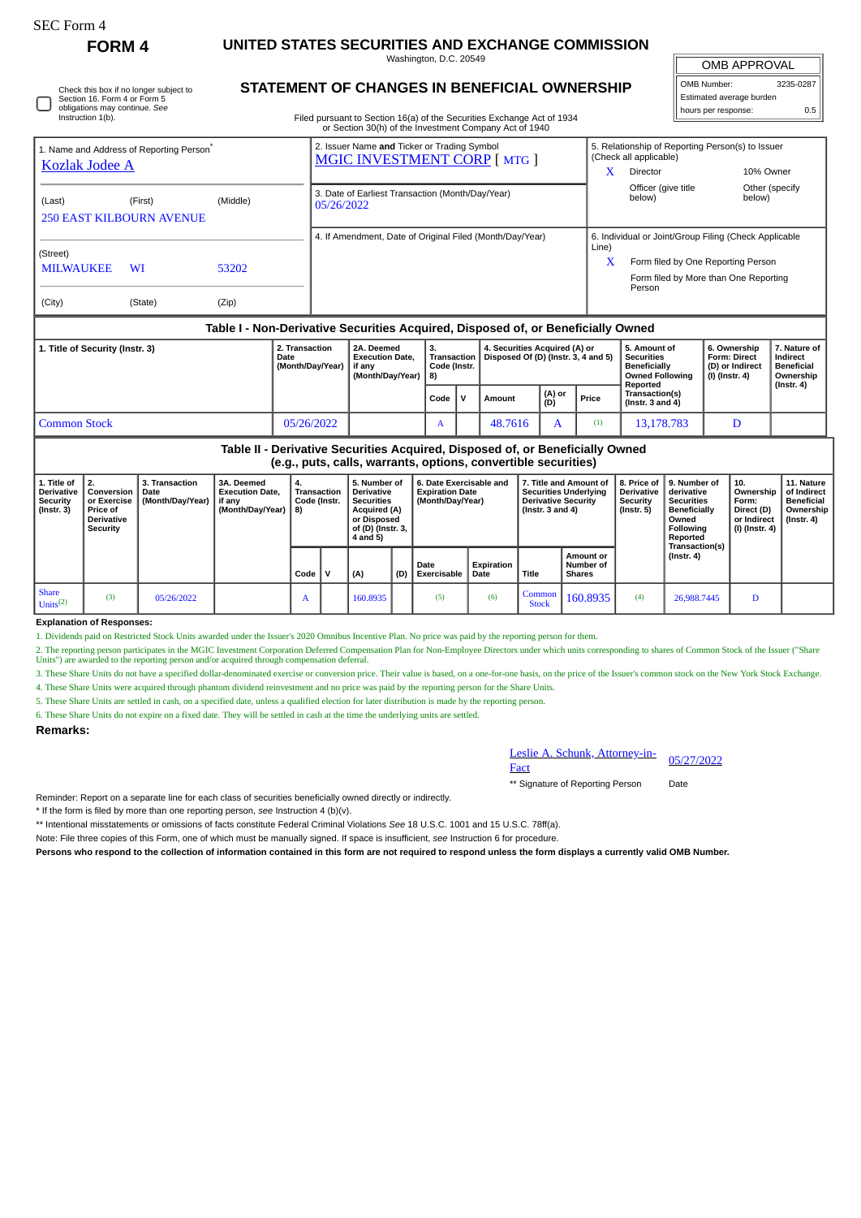| ،FC Form |  |
|----------|--|
|----------|--|

С

## **FORM 4 UNITED STATES SECURITIES AND EXCHANGE COMMISSION**

Washington, D.C. 20549

OMB APPROVAL

 $\mathbb{I}$ 

| OMB Number:              | 3235-0287 |  |  |  |  |  |  |  |  |
|--------------------------|-----------|--|--|--|--|--|--|--|--|
| Estimated average burden |           |  |  |  |  |  |  |  |  |
| hours per response:      | 0.5       |  |  |  |  |  |  |  |  |

|  | Check this box if no longer subject to<br>Section 16, Form 4 or Form 5<br>obligations may continue. See<br>Instruction 1(b). |
|--|------------------------------------------------------------------------------------------------------------------------------|
|--|------------------------------------------------------------------------------------------------------------------------------|

## **STATEMENT OF CHANGES IN BENEFICIAL OWNERSHIP**

Filed pursuant to Section 16(a) of the Securities Exchange Act of 1934 or Section 30(h) of the Investment Company Act of 1940

| <b>Kozlak Jodee A</b>                                                         | 1. Name and Address of Reporting Person <sup>®</sup>                             |          |            | 2. Issuer Name and Ticker or Trading Symbol<br><b>MGIC INVESTMENT CORP [MTG ]</b> |                                          |                                                                      | x                                                     | 5. Relationship of Reporting Person(s) to Issuer<br>(Check all applicable)<br>10% Owner<br>Director |                                                                          |                                                            |  |
|-------------------------------------------------------------------------------|----------------------------------------------------------------------------------|----------|------------|-----------------------------------------------------------------------------------|------------------------------------------|----------------------------------------------------------------------|-------------------------------------------------------|-----------------------------------------------------------------------------------------------------|--------------------------------------------------------------------------|------------------------------------------------------------|--|
| (Last)                                                                        | (First)<br><b>250 EAST KILBOURN AVENUE</b>                                       | (Middle) | 05/26/2022 | 3. Date of Earliest Transaction (Month/Day/Year)                                  |                                          |                                                                      |                                                       | Officer (give title<br>below)                                                                       | below)                                                                   | Other (specify)                                            |  |
|                                                                               |                                                                                  |          |            | 4. If Amendment, Date of Original Filed (Month/Day/Year)                          |                                          |                                                                      | 6. Individual or Joint/Group Filing (Check Applicable |                                                                                                     |                                                                          |                                                            |  |
| (Street)<br><b>MILWAUKEE</b>                                                  | WI                                                                               | 53202    |            |                                                                                   |                                          |                                                                      | Line)<br>x                                            | Form filed by One Reporting Person<br>Form filed by More than One Reporting<br>Person               |                                                                          |                                                            |  |
| (City)                                                                        | (State)                                                                          | (Zip)    |            |                                                                                   |                                          |                                                                      |                                                       |                                                                                                     |                                                                          |                                                            |  |
|                                                                               | Table I - Non-Derivative Securities Acquired, Disposed of, or Beneficially Owned |          |            |                                                                                   |                                          |                                                                      |                                                       |                                                                                                     |                                                                          |                                                            |  |
| 1. Title of Security (Instr. 3)<br>2. Transaction<br>Date<br>(Month/Day/Year) |                                                                                  |          |            | 2A. Deemed<br><b>Execution Date.</b><br>if anv<br>(Month/Day/Year)   8)           | 3.<br><b>Transaction</b><br>Code (Instr. | 4. Securities Acquired (A) or<br>Disposed Of (D) (Instr. 3, 4 and 5) |                                                       | 5. Amount of<br><b>Securities</b><br><b>Beneficially</b><br><b>Owned Following</b>                  | 6. Ownership<br><b>Form: Direct</b><br>(D) or Indirect<br>(I) (Instr. 4) | 7. Nature of<br>Indirect<br><b>Beneficial</b><br>Ownership |  |

|                     |                   |           |  |        |               |       | Reported                           | (Instr. 4) |
|---------------------|-------------------|-----------|--|--------|---------------|-------|------------------------------------|------------|
|                     |                   | ∣Code   V |  | Amount | (A) or<br>(D) | Price | Transaction(s)<br>(Instr. 3 and 4) |            |
| <b>Common Stock</b> | 5/26/2022<br>: בו | 23        |  | HCA    | . .           | 'n    | 78.783                             |            |

## **Table II - Derivative Securities Acquired, Disposed of, or Beneficially Owned (e.g., puts, calls, warrants, options, convertible securities)**

|                                                   | 1. Title of<br>Derivative<br>Security<br>$($ lnstr. 3 $)$ | <b>Conversion   Date</b><br>or Exercise<br><b>Price of</b><br><b>Derivative</b><br>Security | 3. Transaction<br>(Month/Day/Year) | 3A. Deemed<br><b>Execution Date.</b><br>if anv<br>(Month/Dav/Year) 3) | <b>Transaction</b><br>Code (Instr. |  | 5. Number of<br><b>Derivative</b><br><b>Securities</b><br><b>Acquired (A)</b><br>or Disposed<br>of (D) (Instr. 3,<br>4 and 5) |     | 6. Date Exercisable and<br><b>Expiration Date</b><br>(Month/Dav/Year) |                    | 7. Title and Amount of<br><b>Securities Underlying</b><br><b>Derivative Security</b><br>( $Instr. 3 and 4$ ) |                                         | 8. Price of<br><b>Derivative</b><br>Security<br>(Instr. 5) | 9. Number of<br>derivative<br><b>Securities</b><br><b>Beneficially</b><br>Owned<br>Following<br>Reported | 10.<br>Ownership<br>Form:<br>Direct (D)<br>or Indirect<br>(I) (Instr. 4) | 11. Nature<br>of Indirect  <br><b>Beneficial</b><br>Ownership<br>(Instr. 4) |
|---------------------------------------------------|-----------------------------------------------------------|---------------------------------------------------------------------------------------------|------------------------------------|-----------------------------------------------------------------------|------------------------------------|--|-------------------------------------------------------------------------------------------------------------------------------|-----|-----------------------------------------------------------------------|--------------------|--------------------------------------------------------------------------------------------------------------|-----------------------------------------|------------------------------------------------------------|----------------------------------------------------------------------------------------------------------|--------------------------------------------------------------------------|-----------------------------------------------------------------------------|
|                                                   |                                                           |                                                                                             |                                    |                                                                       | Code                               |  | (A)                                                                                                                           | (D) | Date<br>Exercisable                                                   | Expiration<br>Date | Title                                                                                                        | Amount or<br>Number of<br><b>Shares</b> |                                                            | Transaction(s)<br>(Instr. 4)                                                                             |                                                                          |                                                                             |
| <b>Share</b><br>Units <sup><math>(2)</math></sup> |                                                           | (3)                                                                                         | 05/26/2022                         |                                                                       | A                                  |  | 160.8935                                                                                                                      |     | (5)                                                                   | (6)                | Common<br><b>Stock</b>                                                                                       | 160.8935                                | (4)                                                        | 26,988,7445                                                                                              | D                                                                        |                                                                             |

**Explanation of Responses:**

1. Dividends paid on Restricted Stock Units awarded under the Issuer's 2020 Omnibus Incentive Plan. No price was paid by the reporting person for them.

2. The reporting person participates in the MGIC Investment Corporation Deferred Compensation Plan for Non-Employee Directors under which units corresponding to shares of Common Stock of the Issuer ("Share Units") are awarded to the reporting person and/or acquired through compensation deferral.

3. These Share Units do not have a specified dollar-denominated exercise or conversion price. Their value is based, on a one-for-one basis, on the price of the Issuer's common stock on the New York Stock Exchange.

4. These Share Units were acquired through phantom dividend reinvestment and no price was paid by the reporting person for the Share Units.

5. These Share Units are settled in cash, on a specified date, unless a qualified election for later distribution is made by the reporting person.

6. These Share Units do not expire on a fixed date. They will be settled in cash at the time the underlying units are settled.

## **Remarks:**

**Chunk**, Attorney-in-Eesite A. Schunk, Attorney-in-<br>Fact

\*\* Signature of Reporting Person Date

Reminder: Report on a separate line for each class of securities beneficially owned directly or indirectly.

\* If the form is filed by more than one reporting person, *see* Instruction 4 (b)(v).

\*\* Intentional misstatements or omissions of facts constitute Federal Criminal Violations *See* 18 U.S.C. 1001 and 15 U.S.C. 78ff(a).

Note: File three copies of this Form, one of which must be manually signed. If space is insufficient, *see* Instruction 6 for procedure.

**Persons who respond to the collection of information contained in this form are not required to respond unless the form displays a currently valid OMB Number.**